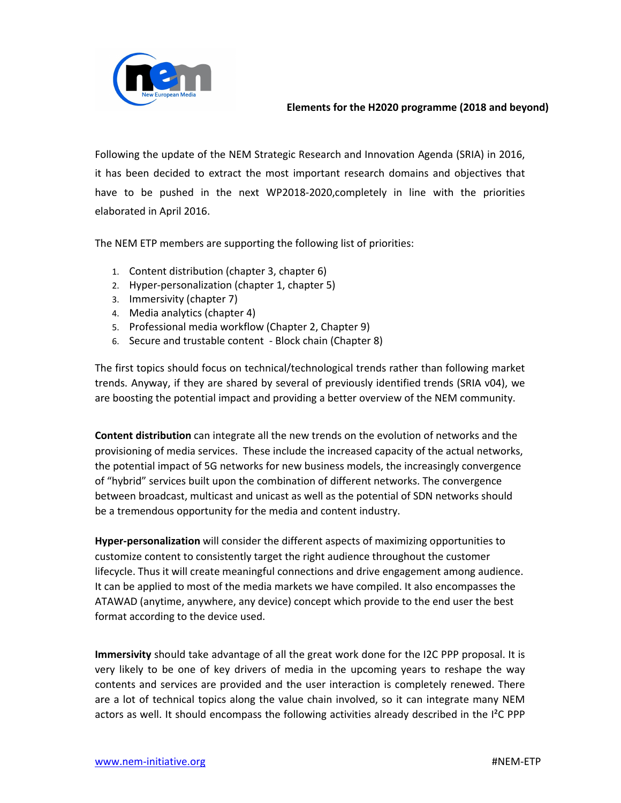

Following the update of the NEM Strategic Research and Innovation Agenda (SRIA) in 2016, it has been decided to extract the most important research domains and objectives that have to be pushed in the next WP2018-2020,completely in line with the priorities elaborated in April 2016.

The NEM ETP members are supporting the following list of priorities:

- 1. Content distribution (chapter 3, chapter 6)
- 2. Hyper-personalization (chapter 1, chapter 5)
- 3. Immersivity (chapter 7)
- 4. Media analytics (chapter 4)
- 5. Professional media workflow (Chapter 2, Chapter 9)
- 6. Secure and trustable content Block chain (Chapter 8)

The first topics should focus on technical/technological trends rather than following market trends. Anyway, if they are shared by several of previously identified trends (SRIA v04), we are boosting the potential impact and providing a better overview of the NEM community.

**Content distribution** can integrate all the new trends on the evolution of networks and the provisioning of media services. These include the increased capacity of the actual networks, the potential impact of 5G networks for new business models, the increasingly convergence of "hybrid" services built upon the combination of different networks. The convergence between broadcast, multicast and unicast as well as the potential of SDN networks should be a tremendous opportunity for the media and content industry.

**Hyper-personalization** will consider the different aspects of maximizing opportunities to customize content to consistently target the right audience throughout the customer lifecycle. Thus it will create meaningful connections and drive engagement among audience. It can be applied to most of the media markets we have compiled. It also encompasses the ATAWAD (anytime, anywhere, any device) concept which provide to the end user the best format according to the device used.

**Immersivity** should take advantage of all the great work done for the I2C PPP proposal. It is very likely to be one of key drivers of media in the upcoming years to reshape the way contents and services are provided and the user interaction is completely renewed. There are a lot of technical topics along the value chain involved, so it can integrate many NEM actors as well. It should encompass the following activities already described in the I²C PPP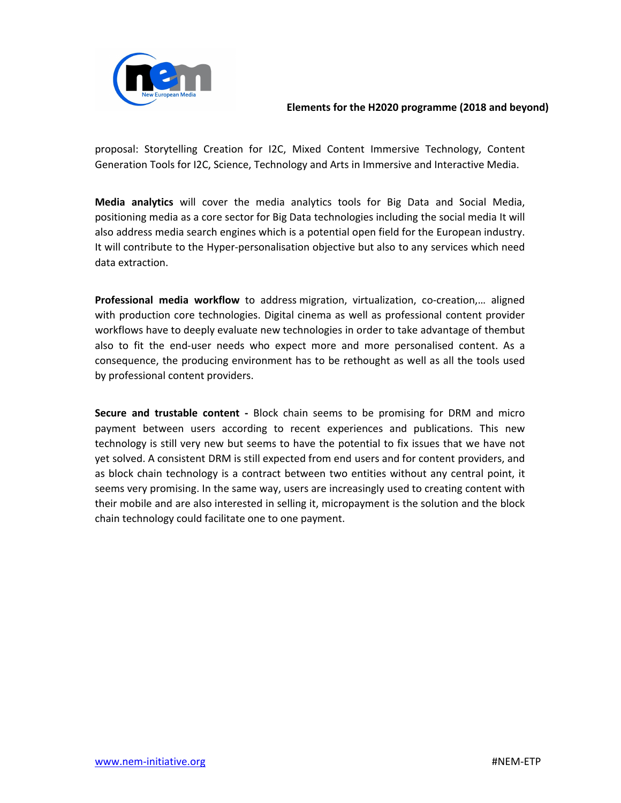

proposal: Storytelling Creation for I2C, Mixed Content Immersive Technology, Content Generation Tools for I2C, Science, Technology and Arts in Immersive and Interactive Media.

**Media analytics** will cover the media analytics tools for Big Data and Social Media, positioning media as a core sector for Big Data technologies including the social media It will also address media search engines which is a potential open field for the European industry. It will contribute to the Hyper-personalisation objective but also to any services which need data extraction.

**Professional media workflow** to address migration, virtualization, co-creation,… aligned with production core technologies. Digital cinema as well as professional content provider workflows have to deeply evaluate new technologies in order to take advantage of thembut also to fit the end-user needs who expect more and more personalised content. As a consequence, the producing environment has to be rethought as well as all the tools used by professional content providers.

**Secure and trustable content -** Block chain seems to be promising for DRM and micro payment between users according to recent experiences and publications. This new technology is still very new but seems to have the potential to fix issues that we have not yet solved. A consistent DRM is still expected from end users and for content providers, and as block chain technology is a contract between two entities without any central point, it seems very promising. In the same way, users are increasingly used to creating content with their mobile and are also interested in selling it, micropayment is the solution and the block chain technology could facilitate one to one payment.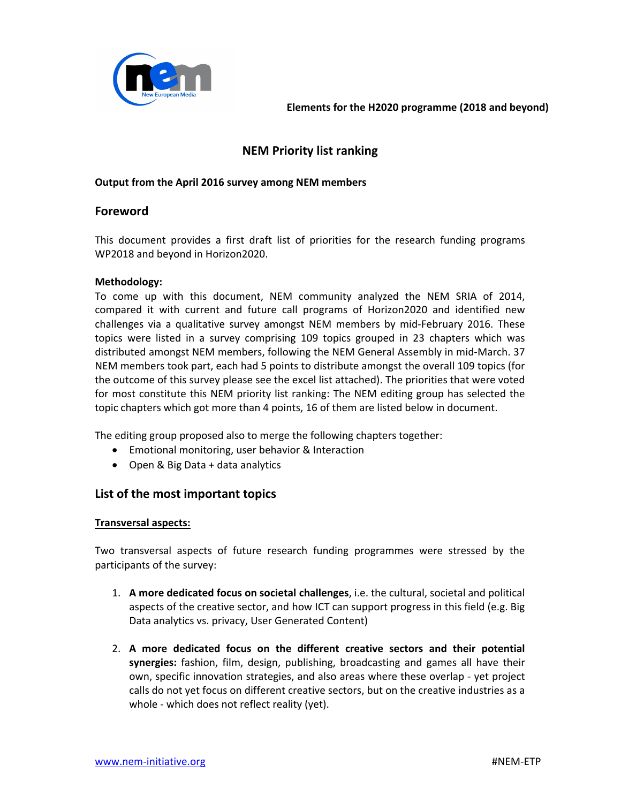

# **NEM Priority list ranking**

### **Output from the April 2016 survey among NEM members**

### **Foreword**

This document provides a first draft list of priorities for the research funding programs WP2018 and beyond in Horizon2020.

### **Methodology:**

To come up with this document, NEM community analyzed the NEM SRIA of 2014, compared it with current and future call programs of Horizon2020 and identified new challenges via a qualitative survey amongst NEM members by mid-February 2016. These topics were listed in a survey comprising 109 topics grouped in 23 chapters which was distributed amongst NEM members, following the NEM General Assembly in mid-March. 37 NEM members took part, each had 5 points to distribute amongst the overall 109 topics (for the outcome of this survey please see the excel list attached). The priorities that were voted for most constitute this NEM priority list ranking: The NEM editing group has selected the topic chapters which got more than 4 points, 16 of them are listed below in document.

The editing group proposed also to merge the following chapters together:

- Emotional monitoring, user behavior & Interaction
- Open & Big Data + data analytics

## **List of the most important topics**

#### **Transversal aspects:**

Two transversal aspects of future research funding programmes were stressed by the participants of the survey:

- 1. **A more dedicated focus on societal challenges**, i.e. the cultural, societal and political aspects of the creative sector, and how ICT can support progress in this field (e.g. Big Data analytics vs. privacy, User Generated Content)
- 2. **A more dedicated focus on the different creative sectors and their potential synergies:** fashion, film, design, publishing, broadcasting and games all have their own, specific innovation strategies, and also areas where these overlap - yet project calls do not yet focus on different creative sectors, but on the creative industries as a whole - which does not reflect reality (yet).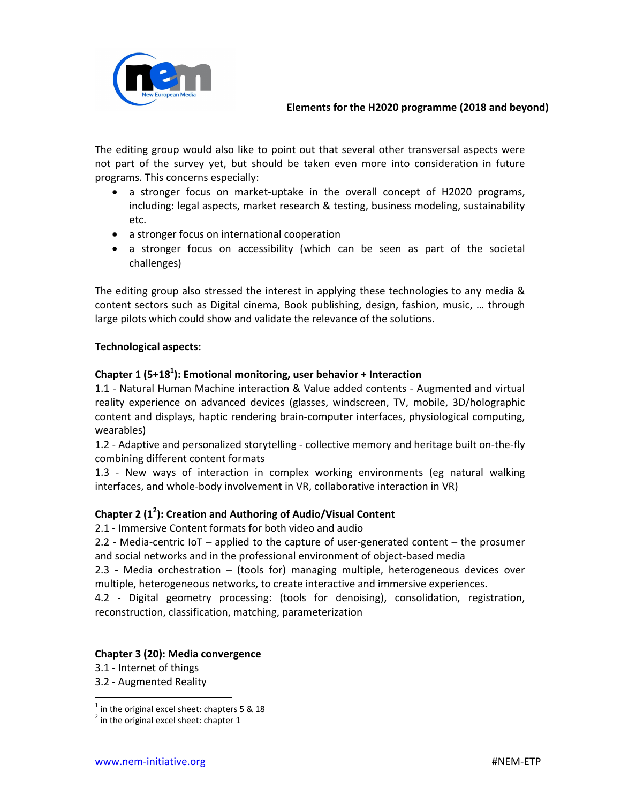

The editing group would also like to point out that several other transversal aspects were not part of the survey yet, but should be taken even more into consideration in future programs. This concerns especially:

- a stronger focus on market-uptake in the overall concept of H2020 programs, including: legal aspects, market research & testing, business modeling, sustainability etc.
- a stronger focus on international cooperation
- a stronger focus on accessibility (which can be seen as part of the societal challenges)

The editing group also stressed the interest in applying these technologies to any media & content sectors such as Digital cinema, Book publishing, design, fashion, music, … through large pilots which could show and validate the relevance of the solutions.

## **Technological aspects:**

# **Chapter 1 (5+18<sup>1</sup> ): Emotional monitoring, user behavior + Interaction**

1.1 - Natural Human Machine interaction & Value added contents - Augmented and virtual reality experience on advanced devices (glasses, windscreen, TV, mobile, 3D/holographic content and displays, haptic rendering brain-computer interfaces, physiological computing, wearables)

1.2 - Adaptive and personalized storytelling - collective memory and heritage built on-the-fly combining different content formats

1.3 - New ways of interaction in complex working environments (eg natural walking interfaces, and whole-body involvement in VR, collaborative interaction in VR)

# **Chapter 2 (1<sup>2</sup> ): Creation and Authoring of Audio/Visual Content**

2.1 - Immersive Content formats for both video and audio

2.2 - Media-centric IoT – applied to the capture of user-generated content – the prosumer and social networks and in the professional environment of object-based media

2.3 - Media orchestration – (tools for) managing multiple, heterogeneous devices over multiple, heterogeneous networks, to create interactive and immersive experiences.

4.2 - Digital geometry processing: (tools for denoising), consolidation, registration, reconstruction, classification, matching, parameterization

### **Chapter 3 (20): Media convergence**

- 3.1 Internet of things
- 3.2 Augmented Reality

 1 in the original excel sheet: chapters 5 & 18

 $2$  in the original excel sheet: chapter 1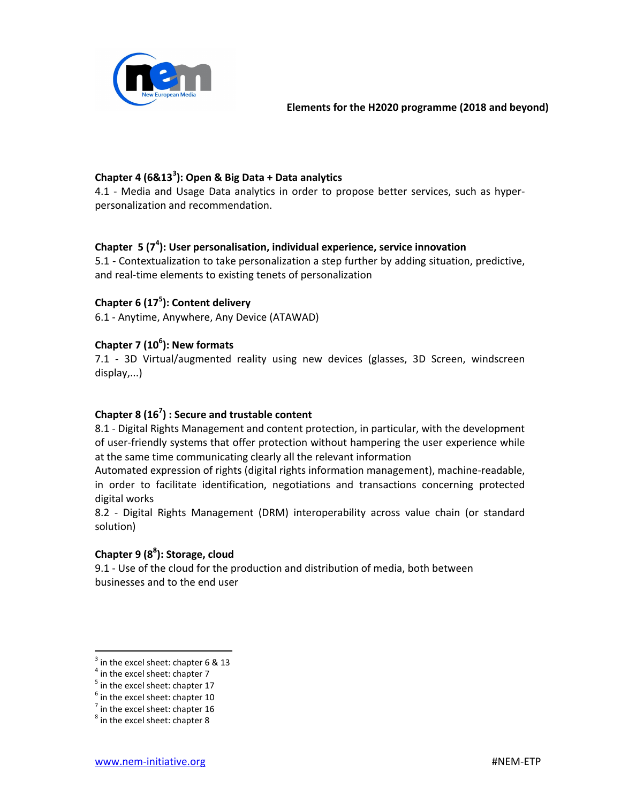

# **Chapter 4 (6&13<sup>3</sup> ): Open & Big Data + Data analytics**

4.1 - Media and Usage Data analytics in order to propose better services, such as hyperpersonalization and recommendation.

# **Chapter 5 (7<sup>4</sup> ): User personalisation, individual experience, service innovation**

5.1 - Contextualization to take personalization a step further by adding situation, predictive, and real-time elements to existing tenets of personalization

# **Chapter 6 (17<sup>5</sup> ): Content delivery**

6.1 - Anytime, Anywhere, Any Device (ATAWAD)

# **Chapter 7 (10<sup>6</sup> ): New formats**

7.1 - 3D Virtual/augmented reality using new devices (glasses, 3D Screen, windscreen display,...)

# **Chapter 8 (16<sup>7</sup> ) : Secure and trustable content**

8.1 - Digital Rights Management and content protection, in particular, with the development of user-friendly systems that offer protection without hampering the user experience while at the same time communicating clearly all the relevant information

Automated expression of rights (digital rights information management), machine-readable, in order to facilitate identification, negotiations and transactions concerning protected digital works

8.2 - Digital Rights Management (DRM) interoperability across value chain (or standard solution)

# **Chapter 9 (8<sup>8</sup> ): Storage, cloud**

9.1 - Use of the cloud for the production and distribution of media, both between businesses and to the end user

 $\overline{a}$ 

 $3$  in the excel sheet: chapter 6 & 13

 $<sup>4</sup>$  in the excel sheet: chapter 7</sup>

<sup>&</sup>lt;sup>5</sup> in the excel sheet: chapter 17

 $<sup>6</sup>$  in the excel sheet: chapter 10</sup>

 $<sup>7</sup>$  in the excel sheet: chapter 16</sup>

 $^8$  in the excel sheet: chapter 8